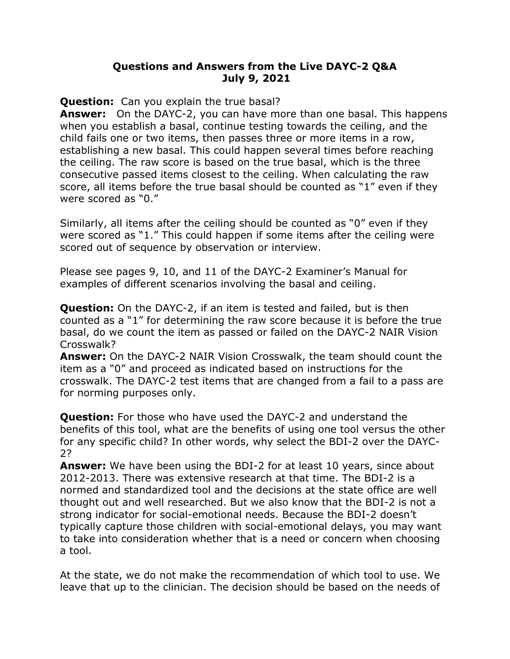## **Questions and Answers from the Live DAYC-2 Q&A July 9, 2021**

**Question:** Can you explain the true basal?

**Answer:** On the DAYC-2, you can have more than one basal. This happens when you establish a basal, continue testing towards the ceiling, and the child fails one or two items, then passes three or more items in a row, establishing a new basal. This could happen several times before reaching the ceiling. The raw score is based on the true basal, which is the three consecutive passed items closest to the ceiling. When calculating the raw score, all items before the true basal should be counted as "1" even if they were scored as "0."

Similarly, all items after the ceiling should be counted as "0" even if they were scored as "1." This could happen if some items after the ceiling were scored out of sequence by observation or interview.

Please see pages 9, 10, and 11 of the DAYC-2 Examiner's Manual for examples of different scenarios involving the basal and ceiling.

**Question:** On the DAYC-2, if an item is tested and failed, but is then counted as a "1" for determining the raw score because it is before the true basal, do we count the item as passed or failed on the DAYC-2 NAIR Vision Crosswalk?

**Answer:** On the DAYC-2 NAIR Vision Crosswalk, the team should count the item as a "0" and proceed as indicated based on instructions for the crosswalk. The DAYC-2 test items that are changed from a fail to a pass are for norming purposes only.

**Question:** For those who have used the DAYC-2 and understand the benefits of this tool, what are the benefits of using one tool versus the other for any specific child? In other words, why select the BDI-2 over the DAYC-2?

**Answer:** We have been using the BDI-2 for at least 10 years, since about 2012-2013. There was extensive research at that time. The BDI-2 is a normed and standardized tool and the decisions at the state office are well thought out and well researched. But we also know that the BDI-2 is not a strong indicator for social-emotional needs. Because the BDI-2 doesn't typically capture those children with social-emotional delays, you may want to take into consideration whether that is a need or concern when choosing a tool.

At the state, we do not make the recommendation of which tool to use. We leave that up to the clinician. The decision should be based on the needs of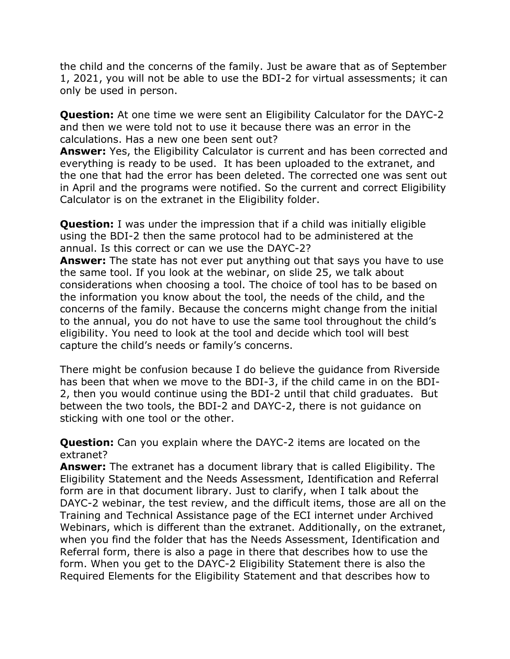the child and the concerns of the family. Just be aware that as of September 1, 2021, you will not be able to use the BDI-2 for virtual assessments; it can only be used in person.

**Question:** At one time we were sent an Eligibility Calculator for the DAYC-2 and then we were told not to use it because there was an error in the calculations. Has a new one been sent out?

**Answer:** Yes, the Eligibility Calculator is current and has been corrected and everything is ready to be used. It has been uploaded to the extranet, and the one that had the error has been deleted. The corrected one was sent out in April and the programs were notified. So the current and correct Eligibility Calculator is on the extranet in the Eligibility folder.

**Question:** I was under the impression that if a child was initially eligible using the BDI-2 then the same protocol had to be administered at the annual. Is this correct or can we use the DAYC-2?

**Answer:** The state has not ever put anything out that says you have to use the same tool. If you look at the webinar, on slide 25, we talk about considerations when choosing a tool. The choice of tool has to be based on the information you know about the tool, the needs of the child, and the concerns of the family. Because the concerns might change from the initial to the annual, you do not have to use the same tool throughout the child's eligibility. You need to look at the tool and decide which tool will best capture the child's needs or family's concerns.

There might be confusion because I do believe the guidance from Riverside has been that when we move to the BDI-3, if the child came in on the BDI-2, then you would continue using the BDI-2 until that child graduates. But between the two tools, the BDI-2 and DAYC-2, there is not guidance on sticking with one tool or the other.

**Question:** Can you explain where the DAYC-2 items are located on the extranet?

**Answer:** The extranet has a document library that is called Eligibility. The Eligibility Statement and the Needs Assessment, Identification and Referral form are in that document library. Just to clarify, when I talk about the DAYC-2 webinar, the test review, and the difficult items, those are all on the Training and Technical Assistance page of the ECI internet under Archived Webinars, which is different than the extranet. Additionally, on the extranet, when you find the folder that has the Needs Assessment, Identification and Referral form, there is also a page in there that describes how to use the form. When you get to the DAYC-2 Eligibility Statement there is also the Required Elements for the Eligibility Statement and that describes how to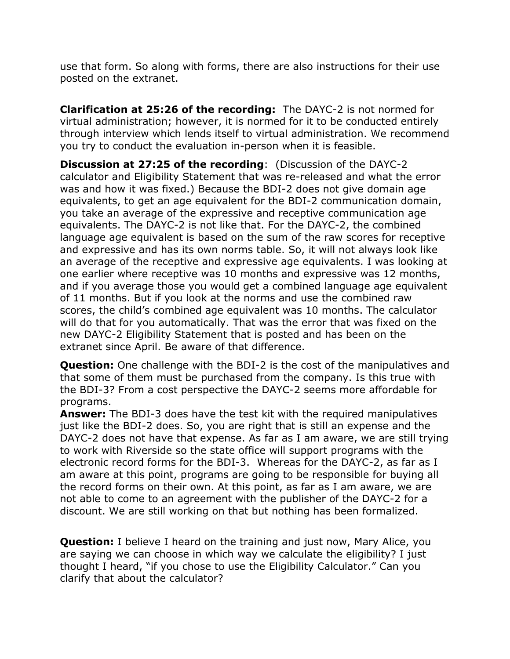use that form. So along with forms, there are also instructions for their use posted on the extranet.

**Clarification at 25:26 of the recording:** The DAYC-2 is not normed for virtual administration; however, it is normed for it to be conducted entirely through interview which lends itself to virtual administration. We recommend you try to conduct the evaluation in-person when it is feasible.

**Discussion at 27:25 of the recording**: (Discussion of the DAYC-2 calculator and Eligibility Statement that was re-released and what the error was and how it was fixed.) Because the BDI-2 does not give domain age equivalents, to get an age equivalent for the BDI-2 communication domain, you take an average of the expressive and receptive communication age equivalents. The DAYC-2 is not like that. For the DAYC-2, the combined language age equivalent is based on the sum of the raw scores for receptive and expressive and has its own norms table. So, it will not always look like an average of the receptive and expressive age equivalents. I was looking at one earlier where receptive was 10 months and expressive was 12 months, and if you average those you would get a combined language age equivalent of 11 months. But if you look at the norms and use the combined raw scores, the child's combined age equivalent was 10 months. The calculator will do that for you automatically. That was the error that was fixed on the new DAYC-2 Eligibility Statement that is posted and has been on the extranet since April. Be aware of that difference.

**Question:** One challenge with the BDI-2 is the cost of the manipulatives and that some of them must be purchased from the company. Is this true with the BDI-3? From a cost perspective the DAYC-2 seems more affordable for programs.

**Answer:** The BDI-3 does have the test kit with the required manipulatives just like the BDI-2 does. So, you are right that is still an expense and the DAYC-2 does not have that expense. As far as I am aware, we are still trying to work with Riverside so the state office will support programs with the electronic record forms for the BDI-3. Whereas for the DAYC-2, as far as I am aware at this point, programs are going to be responsible for buying all the record forms on their own. At this point, as far as I am aware, we are not able to come to an agreement with the publisher of the DAYC-2 for a discount. We are still working on that but nothing has been formalized.

**Question:** I believe I heard on the training and just now, Mary Alice, you are saying we can choose in which way we calculate the eligibility? I just thought I heard, "if you chose to use the Eligibility Calculator." Can you clarify that about the calculator?